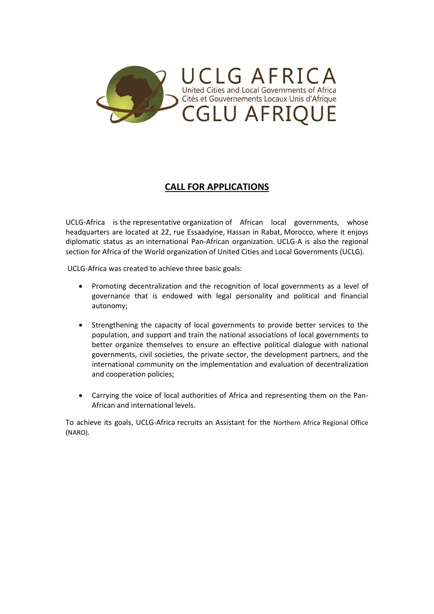

## **CALL FOR APPLICATIONS**

UCLG-Africa is the representative organization of African local governments, whose headquarters are located at 22, rue Essaadyine, Hassan in Rabat, Morocco, where it enjoys diplomatic status as an international Pan-African organization. UCLG-A is also the regional section for Africa of the World organization of United Cities and Local Governments (UCLG).

UCLG-Africa was created to achieve three basic goals:

- Promoting decentralization and the recognition of local governments as a level of governance that is endowed with legal personality and political and financial autonomy;
- Strengthening the capacity of local governments to provide better services to the population, and support and train the national associations of local governments to better organize themselves to ensure an effective political dialogue with national governments, civil societies, the private sector, the development partners, and the international community on the implementation and evaluation of decentralization and cooperation policies;
- Carrying the voice of local authorities of Africa and representing them on the Pan-African and international levels.

To achieve its goals, UCLG-Africa recruits an Assistant for the Northern Africa Regional Office (NARO).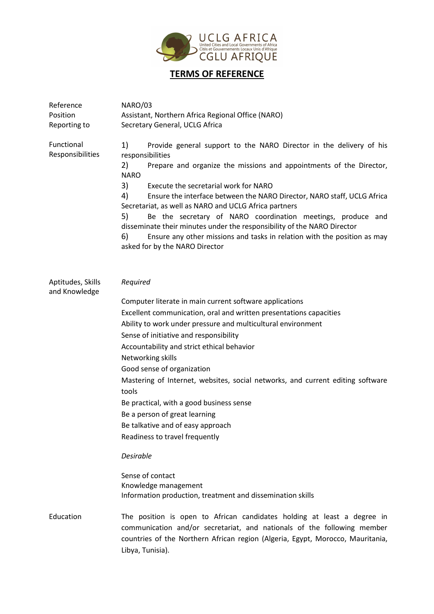

## **TERMS OF REFERENCE**

| Reference<br>Position<br>Reporting to | <b>NARO/03</b><br>Assistant, Northern Africa Regional Office (NARO)<br>Secretary General, UCLG Africa                                                                                                                                                                                                                                                                                                                                                                    |
|---------------------------------------|--------------------------------------------------------------------------------------------------------------------------------------------------------------------------------------------------------------------------------------------------------------------------------------------------------------------------------------------------------------------------------------------------------------------------------------------------------------------------|
| Functional<br>Responsibilities        | 1)<br>Provide general support to the NARO Director in the delivery of his<br>responsibilities<br>2)<br>Prepare and organize the missions and appointments of the Director,                                                                                                                                                                                                                                                                                               |
|                                       | <b>NARO</b><br>3)<br>Execute the secretarial work for NARO<br>4)<br>Ensure the interface between the NARO Director, NARO staff, UCLG Africa<br>Secretariat, as well as NARO and UCLG Africa partners<br>5)<br>Be the secretary of NARO coordination meetings, produce and<br>disseminate their minutes under the responsibility of the NARO Director<br>Ensure any other missions and tasks in relation with the position as may<br>6)<br>asked for by the NARO Director |
| Aptitudes, Skills                     | Required                                                                                                                                                                                                                                                                                                                                                                                                                                                                 |
| and Knowledge                         |                                                                                                                                                                                                                                                                                                                                                                                                                                                                          |
|                                       | Computer literate in main current software applications                                                                                                                                                                                                                                                                                                                                                                                                                  |
|                                       | Excellent communication, oral and written presentations capacities                                                                                                                                                                                                                                                                                                                                                                                                       |
|                                       | Ability to work under pressure and multicultural environment                                                                                                                                                                                                                                                                                                                                                                                                             |
|                                       | Sense of initiative and responsibility                                                                                                                                                                                                                                                                                                                                                                                                                                   |
|                                       | Accountability and strict ethical behavior                                                                                                                                                                                                                                                                                                                                                                                                                               |
|                                       | Networking skills                                                                                                                                                                                                                                                                                                                                                                                                                                                        |
|                                       | Good sense of organization                                                                                                                                                                                                                                                                                                                                                                                                                                               |
|                                       | Mastering of Internet, websites, social networks, and current editing software<br>tools                                                                                                                                                                                                                                                                                                                                                                                  |
|                                       | Be practical, with a good business sense                                                                                                                                                                                                                                                                                                                                                                                                                                 |
|                                       | Be a person of great learning                                                                                                                                                                                                                                                                                                                                                                                                                                            |
|                                       | Be talkative and of easy approach                                                                                                                                                                                                                                                                                                                                                                                                                                        |
|                                       | Readiness to travel frequently                                                                                                                                                                                                                                                                                                                                                                                                                                           |
|                                       | <b>Desirable</b>                                                                                                                                                                                                                                                                                                                                                                                                                                                         |
|                                       | Sense of contact<br>Knowledge management<br>Information production, treatment and dissemination skills                                                                                                                                                                                                                                                                                                                                                                   |
| Education                             | The position is open to African candidates holding at least a degree in<br>communication and/or secretariat, and nationals of the following member<br>countries of the Northern African region (Algeria, Egypt, Morocco, Mauritania,<br>Libya, Tunisia).                                                                                                                                                                                                                 |